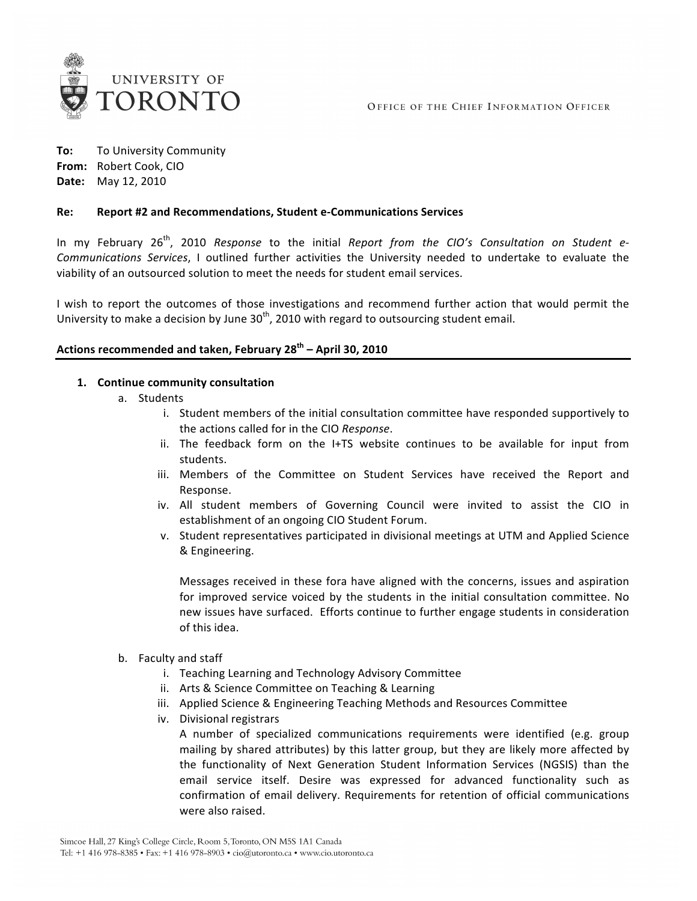

**To:** To
University
Community **From:** Robert
Cook,
CIO **Date:** May
12,
2010

#### **Re: Report
#2
and
Recommendations,
Student
e‐Communications
Services**

In my February 26<sup>th</sup>, 2010 Response to the initial Report from the CIO's Consultation on Student e-Communications Services, I outlined further activities the University needed to undertake to evaluate the viability
of
an
outsourced
solution
to
meet
the
needs
for
student
email
services.

I wish to report the outcomes of those investigations and recommend further action that would permit the University to make a decision by June  $30<sup>th</sup>$ , 2010 with regard to outsourcing student email.

## **Actions
recommended
and
taken,
February
28th –
April
30,
2010**

#### **1. Continue
community
consultation**

- a. Students
	- i. Student members of the initial consultation committee have responded supportively to the
	actions
	called
	for
	in
	the
	CIO *Response*.
	- ii. The feedback form on the I+TS website continues to be available for input from students.
	- iii. Members of the Committee on Student Services have received the Report and Response.
	- iv. All student members of Governing Council were invited to assist the CIO in establishment
	of
	an
	ongoing
	CIO
	Student
	Forum.
	- v. Student representatives participated in divisional meetings at UTM and Applied Science &
	Engineering.

Messages received in these fora have aligned with the concerns, issues and aspiration for improved service voiced by the students in the initial consultation committee. No new
issues
have
surfaced.

Efforts
continue
to
further
engage
students
in
consideration of
this
idea.

- b. Faculty
and
staff
	- i. Teaching
	Learning
	and
	Technology
	Advisory
	Committee
	- ii. Arts
	&
	Science
	Committee
	on
	Teaching
	&
	Learning
	- iii. Applied Science & Engineering Teaching Methods and Resources Committee
	- iv. Divisional
	registrars

A number of specialized communications requirements were identified (e.g. group mailing by shared attributes) by this latter group, but they are likely more affected by the functionality of Next Generation Student Information Services (NGSIS) than the email service itself. Desire was expressed for advanced functionality such as confirmation of email delivery. Requirements for retention of official communications were
also
raised.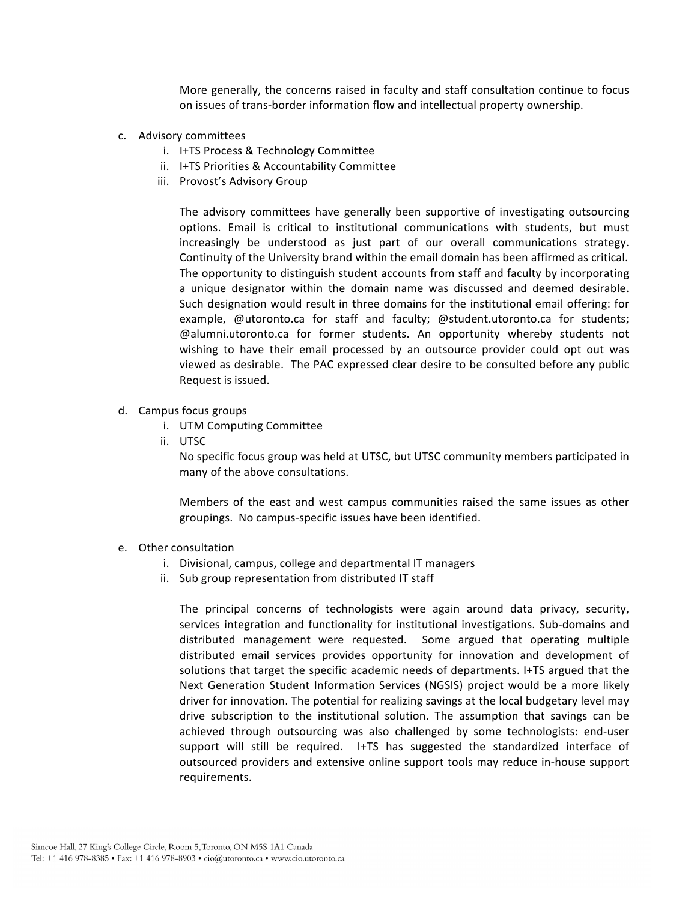More generally, the concerns raised in faculty and staff consultation continue to focus on
issues
of
trans‐border
information
flow
and
intellectual
property
ownership.

- c. Advisory
committees
	- i. I+TS
	Process
	&
	Technology
	Committee
	- ii. I+TS
	Priorities
	&
	Accountability
	Committee
	- iii. Provost's
	Advisory
	Group

The
 advisory
 committees
 have
 generally
 been
 supportive
 of
 investigating
 outsourcing options. Email is critical to institutional communications with students, but must increasingly be understood as just part of our overall communications strategy. Continuity of the University brand within the email domain has been affirmed as critical. The
opportunity
to
distinguish
student
accounts
from
staff
and
faculty
by
incorporating a unique designator within the domain name was discussed and deemed desirable. Such designation would result in three domains for the institutional email offering: for example, @utoronto.ca for staff and faculty; @student.utoronto.ca for students; @alumni.utoronto.ca
 for
 former
 students.
 An
 opportunity
 whereby
 students
 not wishing to have their email processed by an outsource provider could opt out was viewed
as
desirable.

The
PAC
expressed
clear
desire
to
be
consulted
before
any
public Request
is
issued.

- d. Campus
focus
groups
	- i. UTM
	Computing
	Committee
	- ii. UTSC

No
specific
focus
group
was
held
at
UTSC,
but
UTSC
community
members
participated
in many
of
the
above
consultations.

Members of the east and west campus communities raised the same issues as other groupings.

No
campus‐specific
issues
have
been
identified.

- e. Other
consultation
	- i. Divisional,
	campus,
	college
	and
	departmental
	IT
	managers
	- ii. Sub
	group
	representation
	from
	distributed
	IT
	staff

The principal concerns of technologists were again around data privacy, security, services integration and functionality for institutional investigations. Sub-domains and distributed
 management
 were
 requested.

 Some
 argued
 that
 operating
 multiple distributed email services provides opportunity for innovation and development of solutions that target the specific academic needs of departments. I+TS argued that the Next Generation Student Information Services (NGSIS) project would be a more likely driver for innovation. The potential for realizing savings at the local budgetary level may drive subscription to the institutional solution. The assumption that savings can be achieved through outsourcing was also challenged by some technologists: end-user support will still be required. I+TS has suggested the standardized interface of outsourced
providers
and
extensive
online
support
 tools
may
 reduce
in‐house
support requirements.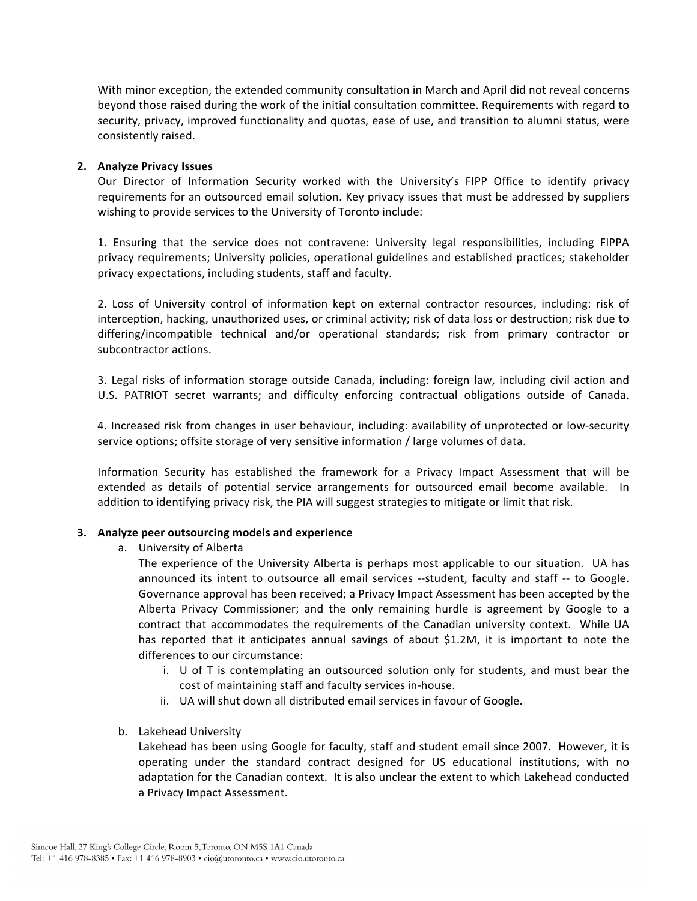With minor exception, the extended community consultation in March and April did not reveal concerns beyond those raised during the work of the initial consultation committee. Requirements with regard to security, privacy, improved functionality and quotas, ease of use, and transition to alumni status, were consistently
raised.

## **2. Analyze
Privacy
Issues**

Our Director of Information Security worked with the University's FIPP Office to identify privacy requirements for an outsourced email solution. Key privacy issues that must be addressed by suppliers wishing to provide services to the University of Toronto include:

1. Ensuring that the service does not contravene: University legal responsibilities, including FIPPA privacy
requirements;
University
policies,
operational
guidelines
and
established
practices;
stakeholder privacy
expectations,
including
students,
staff
and
faculty.

2. Loss of University control of information kept on external contractor resources, including: risk of interception, hacking, unauthorized uses, or criminal activity; risk of data loss or destruction; risk due to differing/incompatible technical and/or operational standards; risk from primary contractor or subcontractor actions.

3. Legal risks of information storage outside Canada, including: foreign law, including civil action and U.S. PATRIOT secret warrants; and difficulty enforcing contractual obligations outside of Canada.

4. Increased risk from changes in user behaviour, including: availability of unprotected or low-security service options; offsite storage of very sensitive information / large volumes of data.

Information Security has established the framework for a Privacy Impact Assessment that will be extended as details of potential service arrangements for outsourced email become available. In addition to identifying privacy risk, the PIA will suggest strategies to mitigate or limit that risk.

## **3. Analyze
peer
outsourcing
models
and
experience**

a. University
of
Alberta

The experience of the University Alberta is perhaps most applicable to our situation. UA has announced its intent to outsource all email services --student, faculty and staff -- to Google. Governance approval has been received; a Privacy Impact Assessment has been accepted by the Alberta Privacy Commissioner; and the only remaining hurdle is agreement by Google to a contract that accommodates the requirements of the Canadian university context. While UA has reported that it anticipates annual savings of about \$1.2M, it is important to note the differences to our circumstance:

- i. U of T is contemplating an outsourced solution only for students, and must bear the cost
of
maintaining
staff
and
faculty
services
in‐house.
- ii. UA will shut down all distributed email services in favour of Google.
- b. Lakehead
University

Lakehead has been using Google for faculty, staff and student email since 2007. However, it is operating under the standard contract designed for US educational institutions, with no adaptation for the Canadian context. It is also unclear the extent to which Lakehead conducted a
Privacy
Impact
Assessment.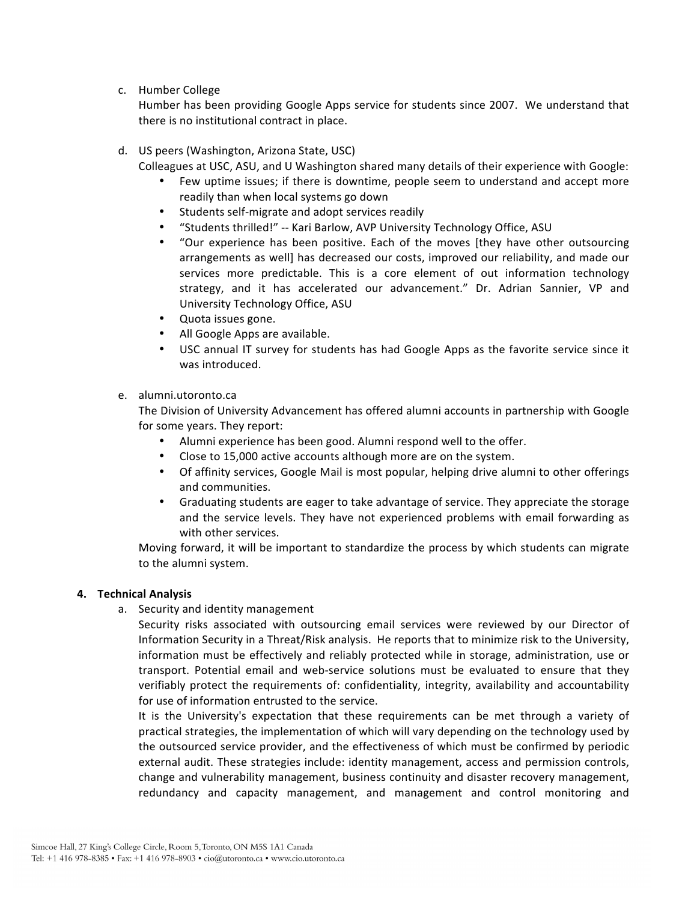c. Humber
College

Humber has been providing Google Apps service for students since 2007. We understand that there
is
no
institutional
contract
in
place.

- d. US
peers
(Washington,
Arizona
State,
USC)
	- Colleagues at USC, ASU, and U Washington shared many details of their experience with Google:
		- Few uptime issues; if there is downtime, people seem to understand and accept more readily
		than
		when
		local
		systems
		go
		down
		- Students self-migrate and adopt services readily
		- "Students thrilled!" -- Kari Barlow, AVP University Technology Office, ASU
		- "Our experience has been positive. Each of the moves [they have other outsourcing arrangements as well] has decreased our costs, improved our reliability, and made our services more predictable. This is a core element of out information technology strategy, and it has accelerated our advancement." Dr. Adrian Sannier, VP and University
		Technology
		Office,
		ASU
		- Quota
		issues
		gone.
		- All
		Google
		Apps
		are
		available.
		- USC annual IT survey for students has had Google Apps as the favorite service since it was
		introduced.

## e. alumni.utoronto.ca

The
Division
of
University
Advancement
has
offered
alumni
accounts
in
partnership
with
Google for
some
years.
They
report:

- Alumni experience has been good. Alumni respond well to the offer.
- Close to 15,000 active accounts although more are on the system.
- Of affinity services, Google Mail is most popular, helping drive alumni to other offerings and
communities.
- Graduating students are eager to take advantage of service. They appreciate the storage and the service levels. They have not experienced problems with email forwarding as with
other
services.

Moving forward, it will be important to standardize the process by which students can migrate to
the
alumni
system.

## **4. Technical
Analysis**

a. Security
and
identity
management

Security risks associated with outsourcing email services were reviewed by our Director of Information Security in a Threat/Risk analysis. He reports that to minimize risk to the University, information must be effectively and reliably protected while in storage, administration, use or transport. Potential email and web-service solutions must be evaluated to ensure that they verifiably protect the requirements of: confidentiality, integrity, availability and accountability for use of information entrusted to the service.

It is the University's expectation that these requirements can be met through a variety of practical strategies, the implementation of which will vary depending on the technology used by the
outsourced
service
provider,
and
the
effectiveness
of
which
must
be
confirmed
by
periodic external audit. These strategies include: identity management, access and permission controls, change
and
vulnerability
management,
business
continuity
and
disaster
recovery
management, redundancy and capacity management, and management and control monitoring and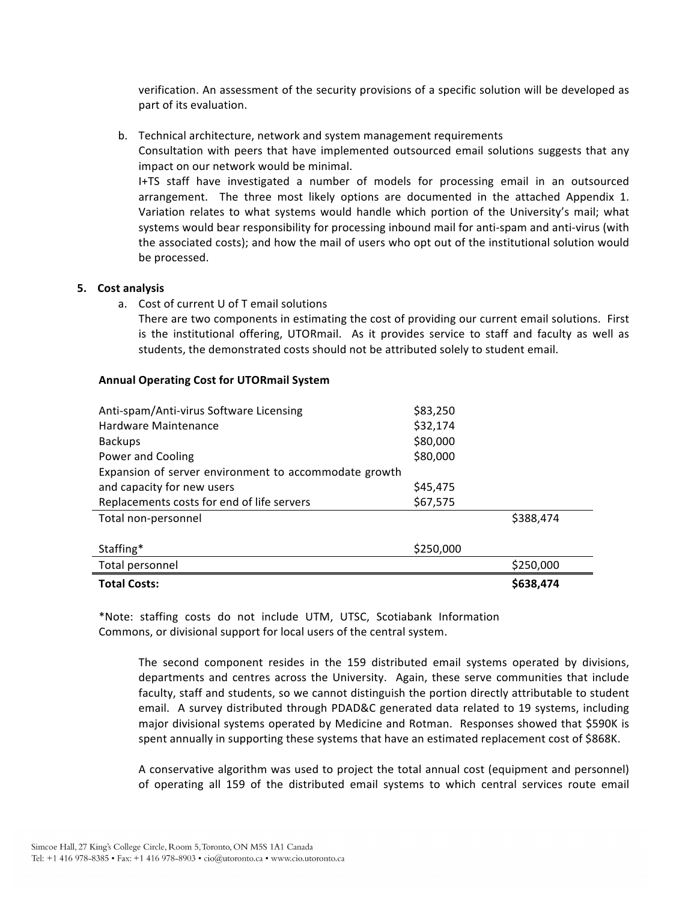verification. An assessment of the security provisions of a specific solution will be developed as part
of
its
evaluation.

b. Technical
architecture,
network
and
system
management
requirements Consultation with peers that have implemented outsourced email solutions suggests that any impact
on
our
network
would
be
minimal. I+TS
 staff have
 investigated
 a
 number
 of
 models
 for
 processing
 email
 in
 an
 outsourced arrangement. The three most likely options are documented in the attached Appendix 1. Variation relates to what systems would handle which portion of the University's mail; what systems would bear responsibility for processing inbound mail for anti-spam and anti-virus (with the
associated
costs);
and
how
the
mail
of
users
who
opt
out
of
the
institutional
solution
would be
processed.

#### **5. Cost
analysis**

a. Cost
of
current
U
of
T
email
solutions

There are two components in estimating the cost of providing our current email solutions. First is the institutional offering, UTORmail. As it provides service to staff and faculty as well as students, the demonstrated costs should not be attributed solely to student email.

#### **Annual
Operating
Cost
for
UTORmail
System**

| <b>Total Costs:</b>                                   |           | \$638,474 |
|-------------------------------------------------------|-----------|-----------|
| Total personnel                                       |           | \$250,000 |
| Staffing*                                             | \$250,000 |           |
| Total non-personnel                                   |           | \$388,474 |
| Replacements costs for end of life servers            | \$67,575  |           |
| and capacity for new users                            | \$45,475  |           |
| Expansion of server environment to accommodate growth |           |           |
| Power and Cooling                                     | \$80,000  |           |
| <b>Backups</b>                                        | \$80,000  |           |
| Hardware Maintenance                                  | \$32,174  |           |
| Anti-spam/Anti-virus Software Licensing               | \$83,250  |           |

\*Note:
 staffing
 costs
 do
 not
 include
 UTM,
 UTSC,
 Scotiabank
 Information Commons,
or
divisional
support
for
local
users
of
the
central
system.

The second component resides in the 159 distributed email systems operated by divisions, departments and centres across the University. Again, these serve communities that include faculty, staff and students, so we cannot distinguish the portion directly attributable to student email. A survey distributed through PDAD&C generated data related to 19 systems, including major
divisional
systems
operated
by
Medicine
and
Rotman.

Responses
showed
that
\$590K
is spent annually in supporting these systems that have an estimated replacement cost of \$868K.

A conservative algorithm was used to project the total annual cost (equipment and personnel) of operating all 159 of the distributed email systems to which central services route email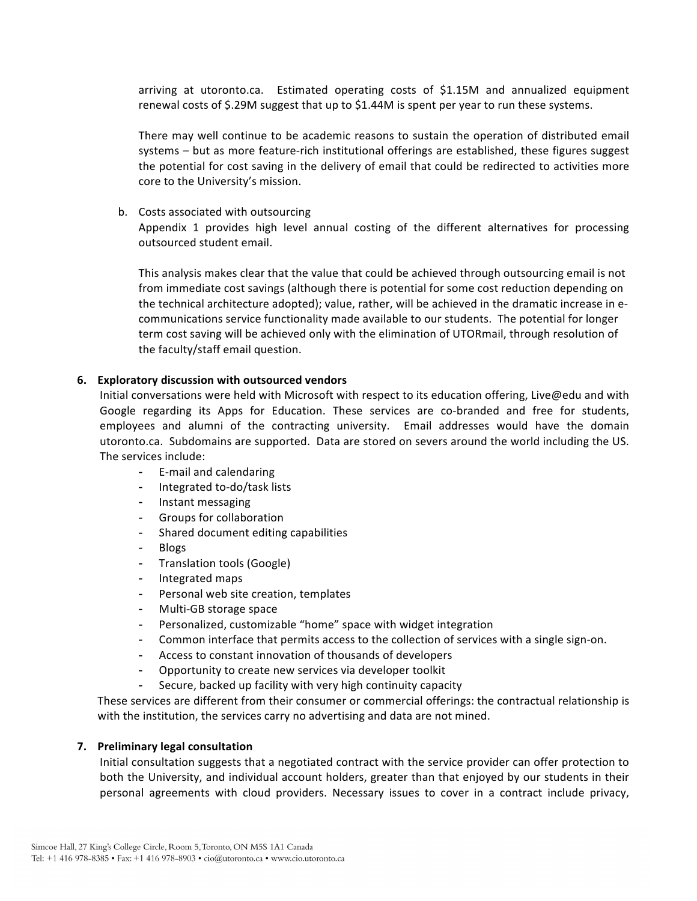arriving at utoronto.ca. Estimated operating costs of \$1.15M and annualized equipment renewal costs of \$.29M suggest that up to \$1.44M is spent per year to run these systems.

There may well continue to be academic reasons to sustain the operation of distributed email systems – but as more feature-rich institutional offerings are established, these figures suggest the potential for cost saving in the delivery of email that could be redirected to activities more core
to
the
University's
mission.

#### b. Costs
associated
with
outsourcing

Appendix 1 provides high level annual costing of the different alternatives for processing outsourced
student
email.

This
analysis
makes
clear
that
the
value
that
could
be
achieved
through
outsourcing
email
is
not from immediate cost savings (although there is potential for some cost reduction depending on the technical architecture adopted); value, rather, will be achieved in the dramatic increase in ecommunications service functionality made available to our students. The potential for longer term cost saving will be achieved only with the elimination of UTORmail, through resolution of the
faculty/staff
email
question.

#### **6. Exploratory
discussion
with
outsourced
vendors**

Initial conversations were held with Microsoft with respect to its education offering, Live@edu and with Google regarding its Apps for Education. These services are co-branded and free for students, employees and alumni of the contracting university. Email addresses would have the domain utoronto.ca. Subdomains are supported. Data are stored on severs around the world including the US. The
services
include:

- E‐mail
and
calendaring
- Integrated to-do/task lists
- Instant
messaging
- Groups
for
collaboration
- Shared
document
editing
capabilities
- Blogs
- Translation
tools
(Google)
- Integrated
maps
- Personal web site creation, templates
- Multi‐GB
storage
space
- Personalized, customizable "home" space with widget integration
- Common interface that permits access to the collection of services with a single sign-on.
- Access to constant innovation of thousands of developers
- Opportunity to create new services via developer toolkit
- Secure, backed up facility with very high continuity capacity

These
services
are
different
from
their
consumer
or
commercial
offerings:
the
contractual
relationship
is with the institution, the services carry no advertising and data are not mined.

## **7. Preliminary
legal
consultation**

Initial consultation suggests that a negotiated contract with the service provider can offer protection to both the University, and individual account holders, greater than that enjoyed by our students in their personal agreements with cloud providers. Necessary issues to cover in a contract include privacy,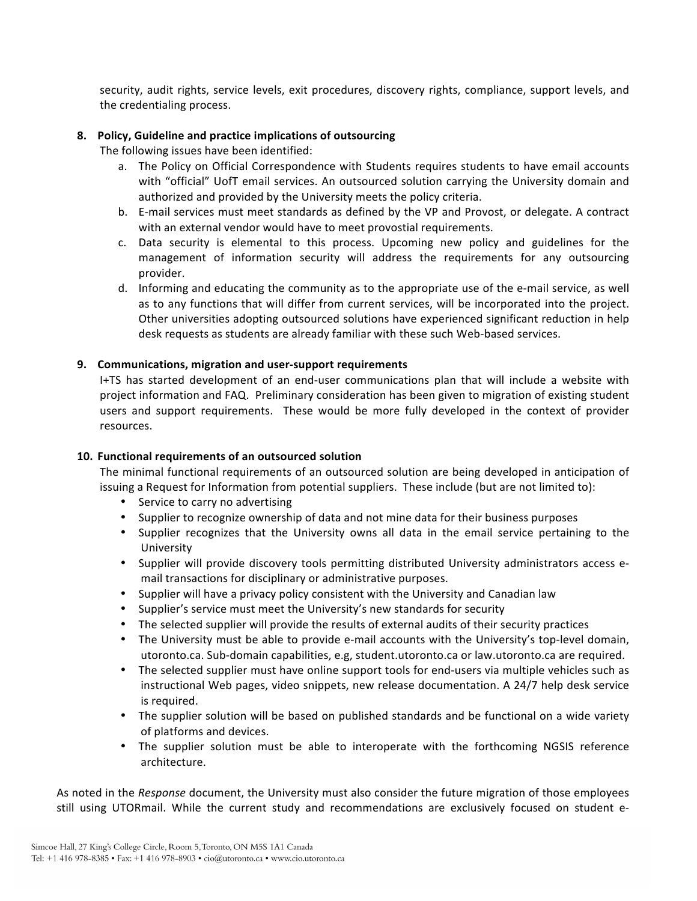security, audit rights, service levels, exit procedures, discovery rights, compliance, support levels, and the
credentialing
process.

# **8. Policy,
Guideline
and
practice
implications
of
outsourcing**

The
following
issues
have
been
identified:

- a. The Policy on Official Correspondence with Students requires students to have email accounts with "official" UofT email services. An outsourced solution carrying the University domain and authorized and provided by the University meets the policy criteria.
- b. E-mail services must meet standards as defined by the VP and Provost, or delegate. A contract with
an
external
vendor
would
have
to
meet
provostial
requirements.
- c. Data security is elemental to this process. Upcoming new policy and guidelines for the management of information security will address the requirements for any outsourcing provider.
- d. Informing and educating the community as to the appropriate use of the e-mail service, as well as to any functions that will differ from current services, will be incorporated into the project. Other universities adopting outsourced solutions have experienced significant reduction in help desk requests as students are already familiar with these such Web-based services.

# **9. Communications,
migration
and
user‐support
requirements**

I+TS has started development of an end-user communications plan that will include a website with project information and FAQ. Preliminary consideration has been given to migration of existing student users and support requirements. These would be more fully developed in the context of provider resources.

## **10. Functional
requirements
of
an
outsourced
solution**

The minimal functional requirements of an outsourced solution are being developed in anticipation of issuing a Request for Information from potential suppliers. These include (but are not limited to):

- Service to carry no advertising
- Supplier to recognize ownership of data and not mine data for their business purposes
- Supplier recognizes that the University owns all data in the email service pertaining to the University
- Supplier will provide discovery tools permitting distributed University administrators access email
transactions
for
disciplinary
or
administrative
purposes.
- Supplier will have a privacy policy consistent with the University and Canadian law
- Supplier's service must meet the University's new standards for security
- The selected supplier will provide the results of external audits of their security practices
- The University must be able to provide e-mail accounts with the University's top-level domain, utoronto.ca. Sub-domain capabilities, e.g, student.utoronto.ca or law.utoronto.ca are required.
- The selected supplier must have online support tools for end-users via multiple vehicles such as instructional
Web
pages,
video
snippets,
new
release
documentation.
A
24/7
help
desk
service is
required.
- The supplier solution will be based on published standards and be functional on a wide variety of
platforms
and
devices.
- The supplier solution must be able to interoperate with the forthcoming NGSIS reference architecture.

As noted in the *Response* document, the University must also consider the future migration of those employees still using UTORmail. While the current study and recommendations are exclusively focused on student e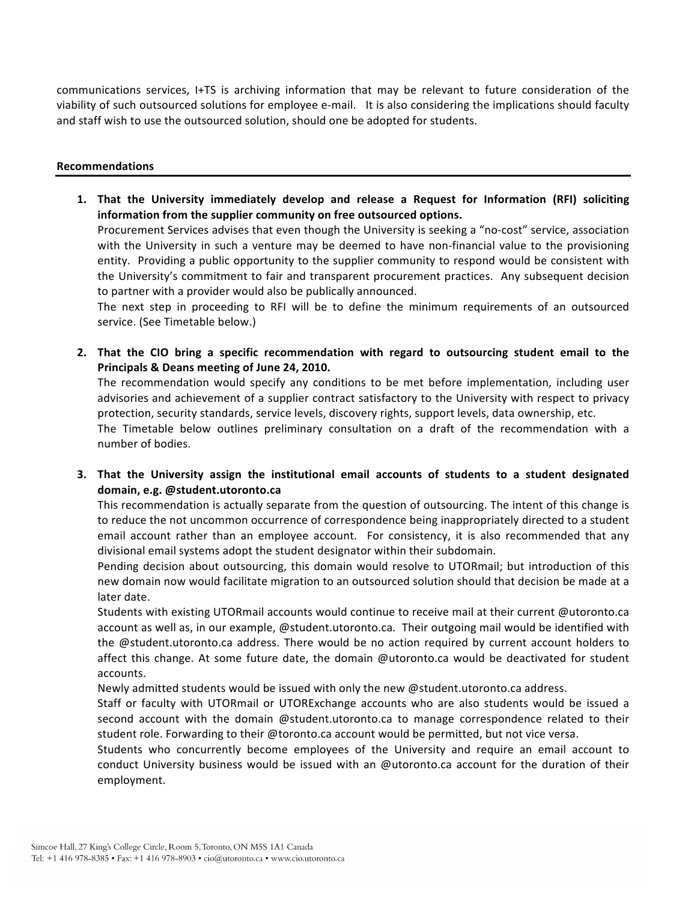communications services, I+TS is archiving information that may be relevant to future consideration of the viability of such outsourced solutions for employee e-mail. It is also considering the implications should faculty and
staff
wish
to
use
the
outsourced
solution,
should
one
be
adopted
for
students.

#### **Recommendations**

1. That the University immediately develop and release a Request for Information (RFI) soliciting **information
from
the
supplier
community
on
free
outsourced
options.** Procurement Services advises that even though the University is seeking a "no-cost" service, association with the University in such a venture may be deemed to have non-financial value to the provisioning

entity. Providing a public opportunity to the supplier community to respond would be consistent with the University's commitment to fair and transparent procurement practices. Any subsequent decision to
partner
with
a
provider
would
also
be
publically
announced.

The next step in proceeding to RFI will be to define the minimum requirements of an outsourced service.
(See
Timetable
below.)

2. That the CIO bring a specific recommendation with regard to outsourcing student email to the **Principals
&
Deans
meeting
of
June
24,
2010.**

The recommendation would specify any conditions to be met before implementation, including user advisories and achievement of a supplier contract satisfactory to the University with respect to privacy protection, security standards, service levels, discovery rights, support levels, data ownership, etc.

The Timetable below outlines preliminary consultation on a draft of the recommendation with a number
of
bodies.

3. That the University assign the institutional email accounts of students to a student designated **domain,
e.g.
@student.utoronto.ca**

This recommendation is actually separate from the question of outsourcing. The intent of this change is to reduce the not uncommon occurrence of correspondence being inappropriately directed to a student email account rather than an employee account. For consistency, it is also recommended that any divisional email systems adopt the student designator within their subdomain.

Pending decision about outsourcing, this domain would resolve to UTORmail; but introduction of this new domain now would facilitate migration to an outsourced solution should that decision be made at a later
date.

Students with existing UTORmail accounts would continue to receive mail at their current @utoronto.ca account as well as, in our example, @student.utoronto.ca. Their outgoing mail would be identified with the @student.utoronto.ca address. There would be no action required by current account holders to affect this change. At some future date, the domain @utoronto.ca would be deactivated for student accounts.

Newly admitted students would be issued with only the new @student.utoronto.ca address.

Staff or faculty with UTORmail or UTORExchange accounts who are also students would be issued a second account with the domain @student.utoronto.ca to manage correspondence related to their student role. Forwarding to their @toronto.ca account would be permitted, but not vice versa.

Students who concurrently become employees of the University and require an email account to conduct University business would be issued with an @utoronto.ca account for the duration of their employment.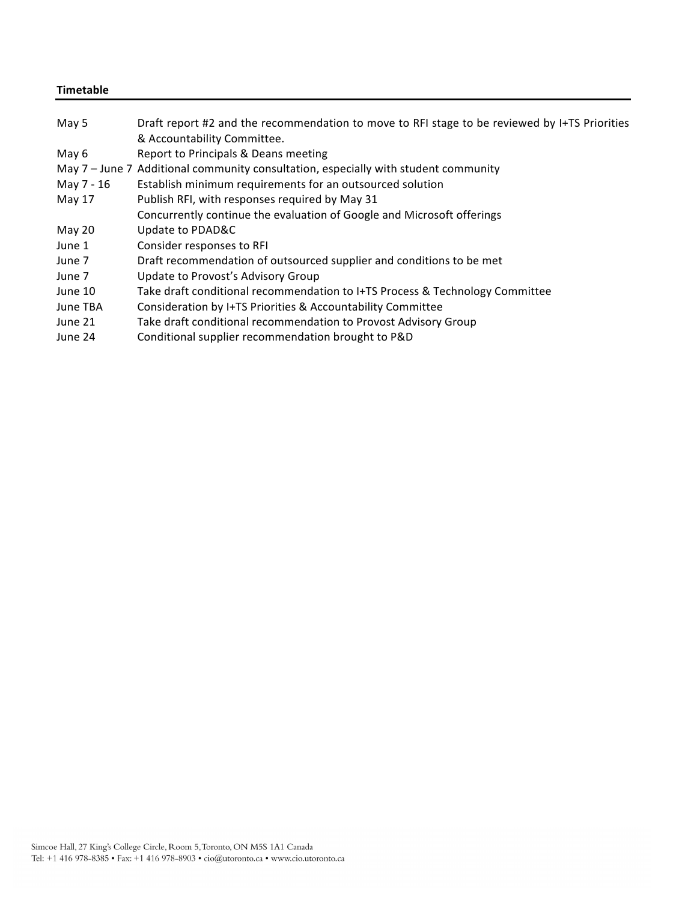# **Timetable**

| May 5      | Draft report #2 and the recommendation to move to RFI stage to be reviewed by I+TS Priorities<br>& Accountability Committee. |
|------------|------------------------------------------------------------------------------------------------------------------------------|
| May 6      | Report to Principals & Deans meeting                                                                                         |
|            | May 7 - June 7 Additional community consultation, especially with student community                                          |
| May 7 - 16 | Establish minimum requirements for an outsourced solution                                                                    |
| May 17     | Publish RFI, with responses required by May 31                                                                               |
|            | Concurrently continue the evaluation of Google and Microsoft offerings                                                       |
| May 20     | Update to PDAD&C                                                                                                             |
| June 1     | Consider responses to RFI                                                                                                    |
| June 7     | Draft recommendation of outsourced supplier and conditions to be met                                                         |
| June 7     | Update to Provost's Advisory Group                                                                                           |
| June 10    | Take draft conditional recommendation to I+TS Process & Technology Committee                                                 |
| June TBA   | Consideration by I+TS Priorities & Accountability Committee                                                                  |
| June 21    | Take draft conditional recommendation to Provost Advisory Group                                                              |
| June 24    | Conditional supplier recommendation brought to P&D                                                                           |